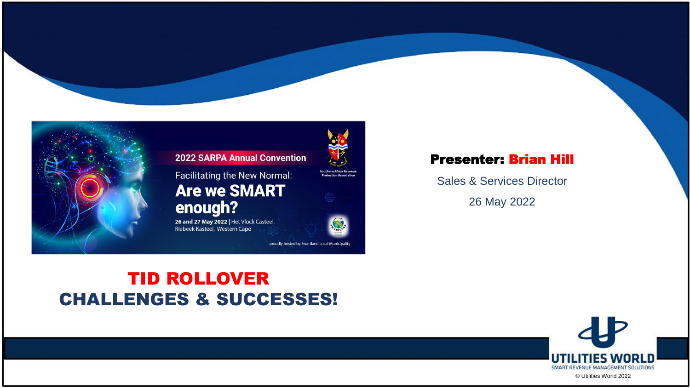

#### **2022 SARPA Annual Convention**

Facilitating the New Normal: **Are we SMART** enough?

26 and 27 May 2022 | Het Vlock Casteel, Riebeek Kasteel, Western Cape

proudly hosted by Swartland Local Municipality

#### Presenter: Brian Hill

Sales & Services Director

26 May 2022

#### TID ROLLOVER CHALLENGES & SUCCESSES!



© Utilities World 2022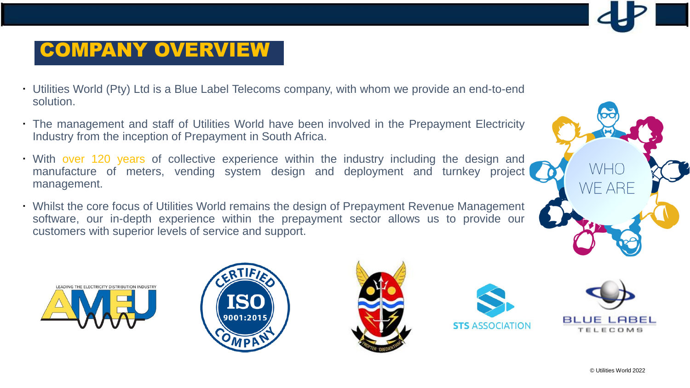## COMPANY OVERVIEW

- Utilities World (Pty) Ltd is a Blue Label Telecoms company, with whom we provide an end-to-end solution.
- The management and staff of Utilities World have been involved in the Prepayment Electricity Industry from the inception of Prepayment in South Africa.
- With over 120 years of collective experience within the industry including the design and manufacture of meters, vending system design and deployment and turnkey project management.
- Whilst the core focus of Utilities World remains the design of Prepayment Revenue Management software, our in-depth experience within the prepayment sector allows us to provide our customers with superior levels of service and support.











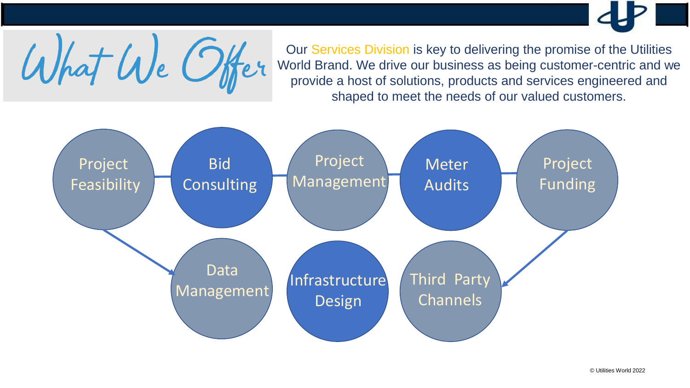Our Services Division is key to delivering the promise of the Utilities World Brand. We drive our business as being customer-centric and we provide a host of solutions, products and services engineered and shaped to meet the needs of our valued customers.



What We Offer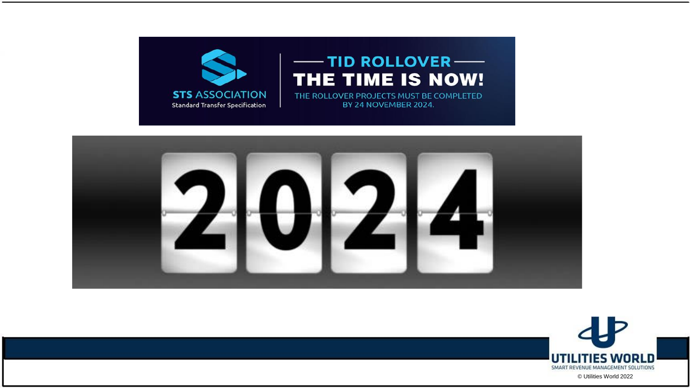





© Utilities World 2022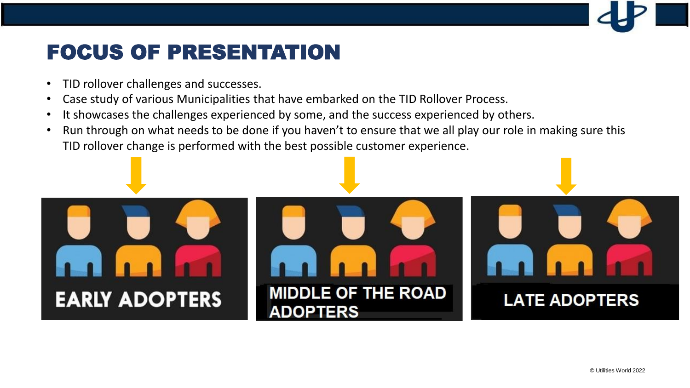## FOCUS OF PRESENTATION

- TID rollover challenges and successes.
- Case study of various Municipalities that have embarked on the TID Rollover Process.
- It showcases the challenges experienced by some, and the success experienced by others.
- Run through on what needs to be done if you haven't to ensure that we all play our role in making sure this TID rollover change is performed with the best possible customer experience.

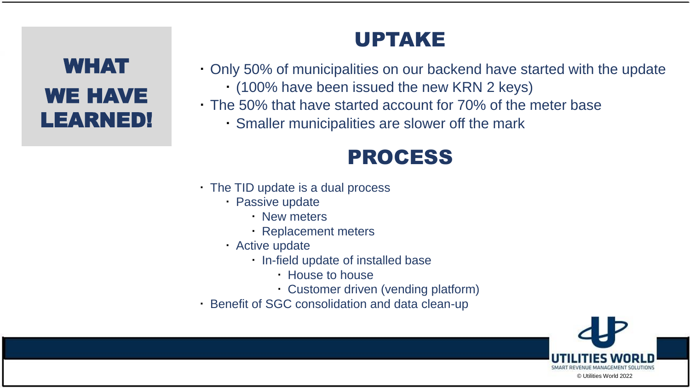# WHAT WE HAVE LEARNED!

## UPTAKE

- Only 50% of municipalities on our backend have started with the update (100% have been issued the new KRN 2 keys)
- The 50% that have started account for 70% of the meter base
	- Smaller municipalities are slower off the mark

## PROCESS

- The TID update is a dual process
	- Passive update
		- New meters
		- Replacement meters
	- Active update
		- . In-field update of installed base
			- House to house
			- Customer driven (vending platform)
- Benefit of SGC consolidation and data clean-up

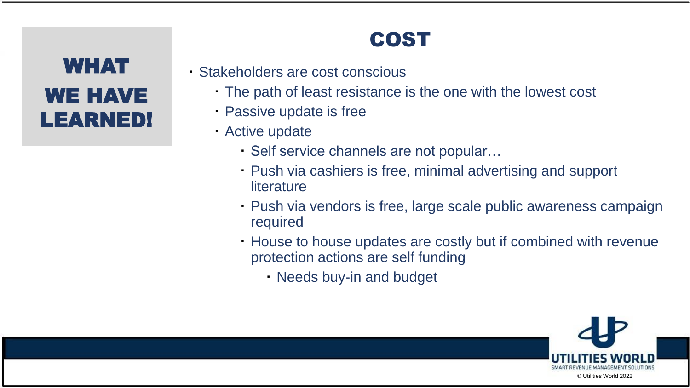# WHAT WE HAVE LEARNED!

# COST

- Stakeholders are cost conscious
	- The path of least resistance is the one with the lowest cost
	- Passive update is free
	- Active update
		- Self service channels are not popular…
		- Push via cashiers is free, minimal advertising and support **literature**
		- Push via vendors is free, large scale public awareness campaign required
		- House to house updates are costly but if combined with revenue protection actions are self funding
			- Needs buy-in and budget

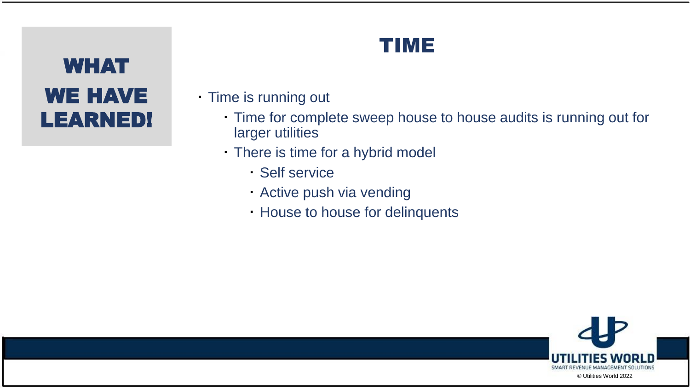# WHAT WE HAVE LEARNED!

## TIME

- Time is running out
	- Time for complete sweep house to house audits is running out for larger utilities
	- There is time for a hybrid model
		- Self service
		- Active push via vending
		- House to house for delinquents

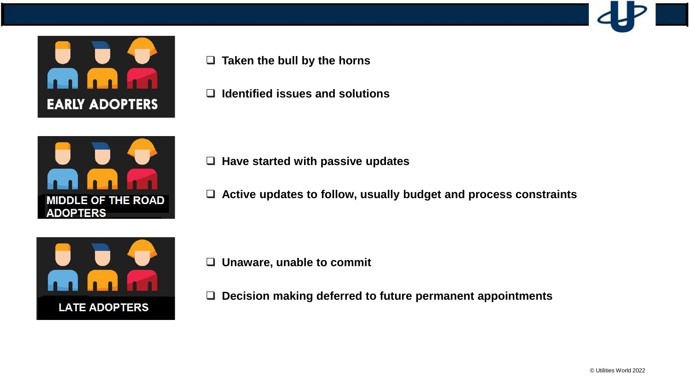

❑ **Taken the bull by the horns**

❑ **Identified issues and solutions**



- ❑ **Have started with passive updates**
- ❑ **Active updates to follow, usually budget and process constraints**



- ❑ **Unaware, unable to commit**
- ❑ **Decision making deferred to future permanent appointments**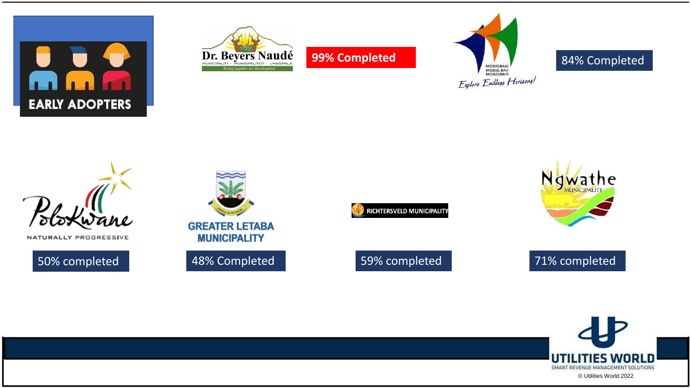



**99% Completed**



#### 84% Completed



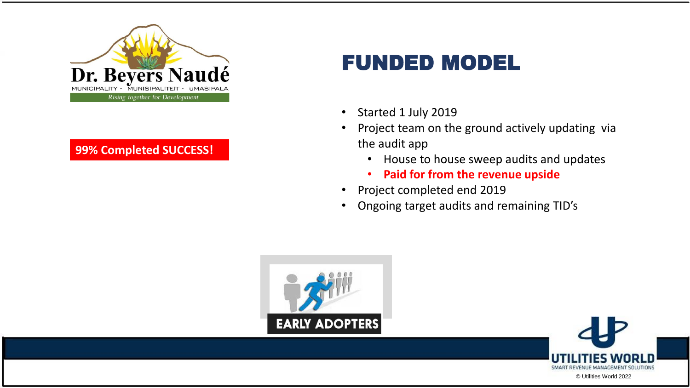

#### **99% Completed SUCCESS!**

## FUNDED MODEL

- Started 1 July 2019
- Project team on the ground actively updating via the audit app
	- House to house sweep audits and updates
	- **Paid for from the revenue upside**
- Project completed end 2019
- Ongoing target audits and remaining TID's



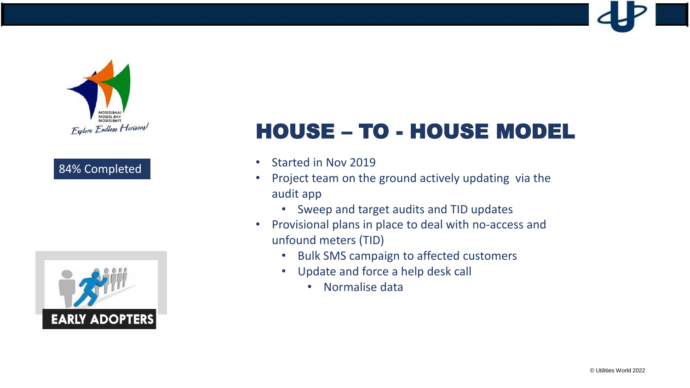

#### 84% Completed



# HOUSE – TO - HOUSE MODEL

- Started in Nov 2019
- Project team on the ground actively updating via the audit app
	- Sweep and target audits and TID updates
- Provisional plans in place to deal with no-access and unfound meters (TID)
	- Bulk SMS campaign to affected customers
	- Update and force a help desk call
		- Normalise data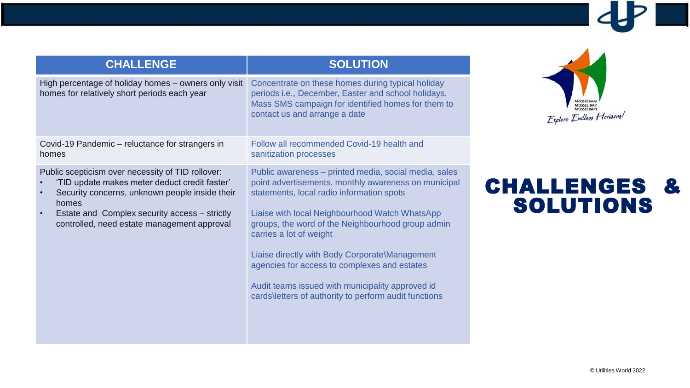| <b>CHALLENGE</b>                                                                                                                                                                                                                                                           | <b>SOLUTION</b>                                                                                                                                                                                                                                                                                                                                                                                                                                                                                             |
|----------------------------------------------------------------------------------------------------------------------------------------------------------------------------------------------------------------------------------------------------------------------------|-------------------------------------------------------------------------------------------------------------------------------------------------------------------------------------------------------------------------------------------------------------------------------------------------------------------------------------------------------------------------------------------------------------------------------------------------------------------------------------------------------------|
| High percentage of holiday homes - owners only visit<br>homes for relatively short periods each year                                                                                                                                                                       | Concentrate on these homes during typical holiday<br>periods i.e., December, Easter and school holidays.<br>Mass SMS campaign for identified homes for them to<br>contact us and arrange a date                                                                                                                                                                                                                                                                                                             |
| Covid-19 Pandemic – reluctance for strangers in<br>homes                                                                                                                                                                                                                   | Follow all recommended Covid-19 health and<br>sanitization processes                                                                                                                                                                                                                                                                                                                                                                                                                                        |
| Public scepticism over necessity of TID rollover:<br>'TID update makes meter deduct credit faster'<br>Security concerns, unknown people inside their<br>homes<br>Estate and Complex security access - strictly<br>$\bullet$<br>controlled, need estate management approval | Public awareness - printed media, social media, sales<br>point advertisements, monthly awareness on municipal<br>statements, local radio information spots<br>Liaise with local Neighbourhood Watch WhatsApp<br>groups, the word of the Neighbourhood group admin<br>carries a lot of weight<br>Liaise directly with Body Corporate\Management<br>agencies for access to complexes and estates<br>Audit teams issued with municipality approved id<br>cards\letters of authority to perform audit functions |



### CHALLENGES & SOLUTIONS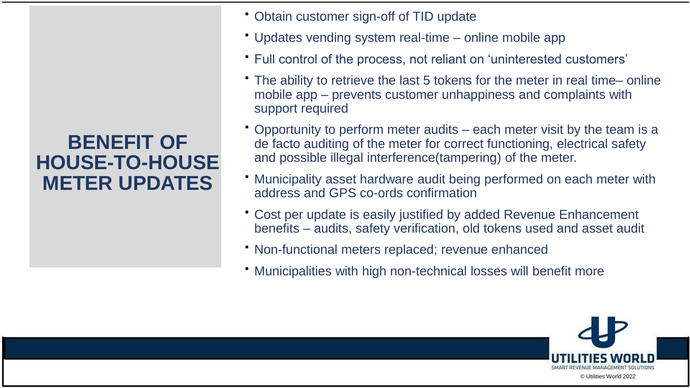#### **BENEFIT OF HOUSE-TO-HOUSE METER UPDATES**

- Obtain customer sign-off of TID update
- Updates vending system real-time online mobile app
- Full control of the process, not reliant on 'uninterested customers'
- The ability to retrieve the last 5 tokens for the meter in real time– online mobile app – prevents customer unhappiness and complaints with support required
- Opportunity to perform meter audits each meter visit by the team is a de facto auditing of the meter for correct functioning, electrical safety and possible illegal interference(tampering) of the meter.
- Municipality asset hardware audit being performed on each meter with address and GPS co-ords confirmation
- Cost per update is easily justified by added Revenue Enhancement benefits – audits, safety verification, old tokens used and asset audit
- Non-functional meters replaced; revenue enhanced
- Municipalities with high non-technical losses will benefit more

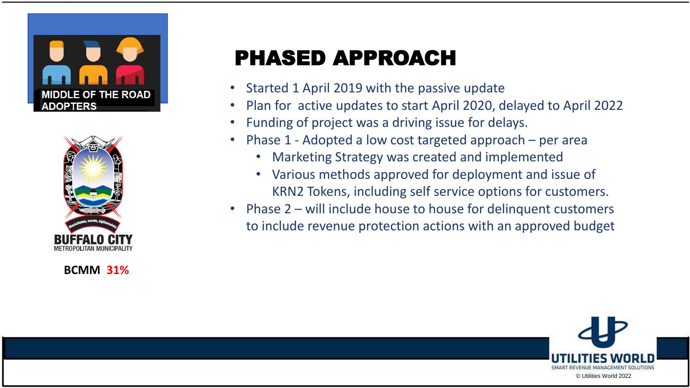



**BCMM 31%**

# PHASED APPROACH

- Started 1 April 2019 with the passive update
- Plan for active updates to start April 2020, delayed to April 2022
- Funding of project was a driving issue for delays.
- Phase 1 Adopted a low cost targeted approach per area
	- Marketing Strategy was created and implemented
	- Various methods approved for deployment and issue of KRN2 Tokens, including self service options for customers.
- Phase 2 will include house to house for delinquent customers to include revenue protection actions with an approved budget

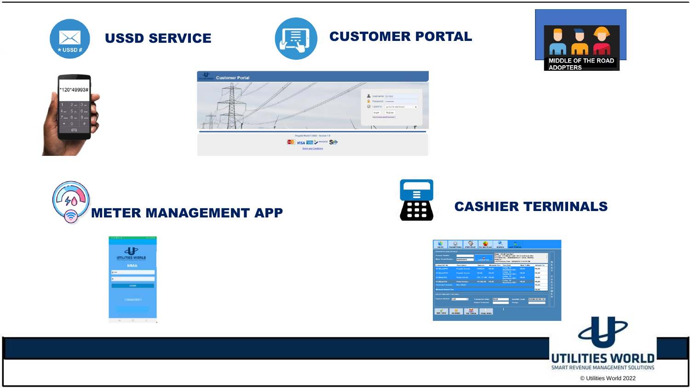











© Utilities World 2022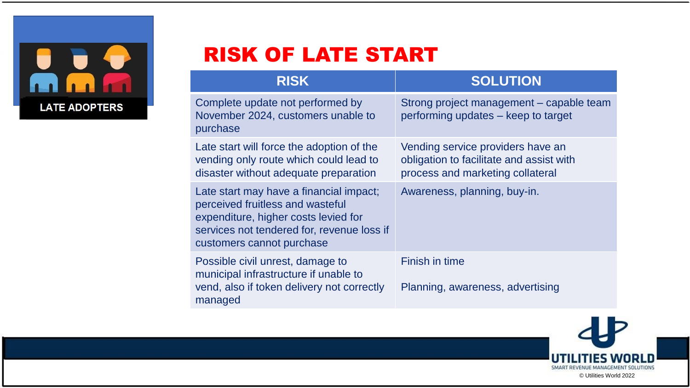

## RISK OF LATE START

| <b>RISK</b>                                                                                                                                                                                    | <b>SOLUTION</b>                                                                                                   |
|------------------------------------------------------------------------------------------------------------------------------------------------------------------------------------------------|-------------------------------------------------------------------------------------------------------------------|
| Complete update not performed by<br>November 2024, customers unable to<br>purchase                                                                                                             | Strong project management – capable team<br>performing updates – keep to target                                   |
| Late start will force the adoption of the<br>vending only route which could lead to<br>disaster without adequate preparation                                                                   | Vending service providers have an<br>obligation to facilitate and assist with<br>process and marketing collateral |
| Late start may have a financial impact;<br>perceived fruitless and wasteful<br>expenditure, higher costs levied for<br>services not tendered for, revenue loss if<br>customers cannot purchase | Awareness, planning, buy-in.                                                                                      |
| Possible civil unrest, damage to<br>municipal infrastructure if unable to<br>vend, also if token delivery not correctly<br>managed                                                             | Finish in time<br>Planning, awareness, advertising                                                                |

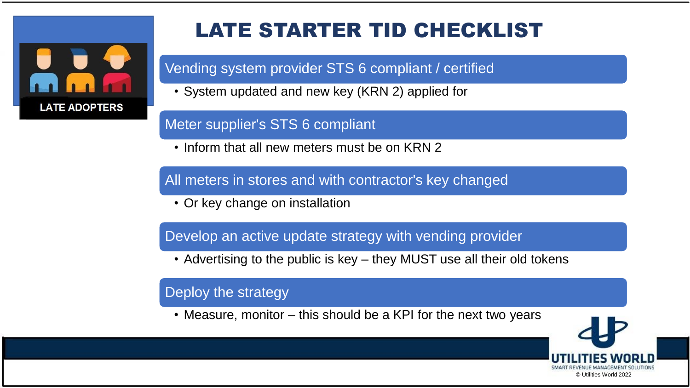

# LATE STARTER TID CHECKLIST

Vending system provider STS 6 compliant / certified

• System updated and new key (KRN 2) applied for

#### Meter supplier's STS 6 compliant

• Inform that all new meters must be on KRN 2

All meters in stores and with contractor's key changed

• Or key change on installation

Develop an active update strategy with vending provider

• Advertising to the public is key – they MUST use all their old tokens

#### Deploy the strategy

• Measure, monitor – this should be a KPI for the next two years